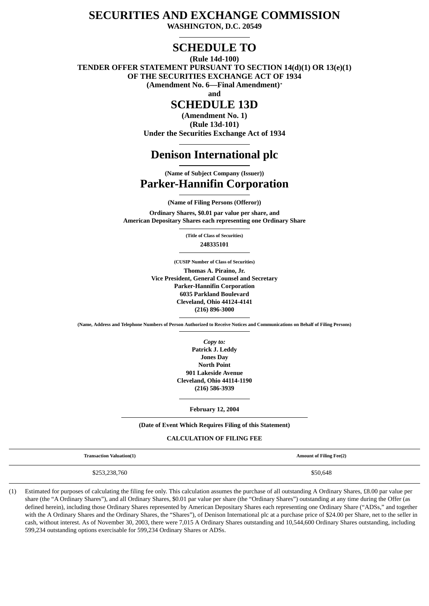# **SECURITIES AND EXCHANGE COMMISSION**

**WASHINGTON, D.C. 20549**

# **SCHEDULE TO**

**(Rule 14d-100)**

**TENDER OFFER STATEMENT PURSUANT TO SECTION 14(d)(1) OR 13(e)(1) OF THE SECURITIES EXCHANGE ACT OF 1934 (Amendment No. 6—Final Amendment)\***

**and**

# **SCHEDULE 13D**

**(Amendment No. 1) (Rule 13d-101) Under the Securities Exchange Act of 1934**

# **Denison International plc**

**(Name of Subject Company (Issuer))**

# **Parker-Hannifin Corporation**

**(Name of Filing Persons (Offeror)) Ordinary Shares, \$0.01 par value per share, and American Depositary Shares each representing one Ordinary Share**

> **(Title of Class of Securities) 248335101**

**(CUSIP Number of Class of Securities) Thomas A. Piraino, Jr. Vice President, General Counsel and Secretary Parker-Hannifin Corporation 6035 Parkland Boulevard Cleveland, Ohio 44124-4141 (216) 896-3000**

**(Name, Address and Telephone Numbers of Person Authorized to Receive Notices and Communications on Behalf of Filing Persons)**

*Copy to:* **Patrick J. Leddy Jones Day North Point 901 Lakeside Avenue Cleveland, Ohio 44114-1190 (216) 586-3939**

**February 12, 2004**

#### **(Date of Event Which Requires Filing of this Statement)**

#### **CALCULATION OF FILING FEE**

| <b>Transaction Valuation(1)</b> | <b>Amount of Filing Fee(2)</b> |
|---------------------------------|--------------------------------|
| \$253,238,760                   | \$50,648                       |

(1) Estimated for purposes of calculating the filing fee only. This calculation assumes the purchase of all outstanding A Ordinary Shares, £8.00 par value per share (the "A Ordinary Shares"), and all Ordinary Shares, \$0.01 par value per share (the "Ordinary Shares") outstanding at any time during the Offer (as defined herein), including those Ordinary Shares represented by American Depositary Shares each representing one Ordinary Share ("ADSs," and together with the A Ordinary Shares and the Ordinary Shares, the "Shares"), of Denison International plc at a purchase price of \$24.00 per Share, net to the seller in cash, without interest. As of November 30, 2003, there were 7,015 A Ordinary Shares outstanding and 10,544,600 Ordinary Shares outstanding, including 599,234 outstanding options exercisable for 599,234 Ordinary Shares or ADSs.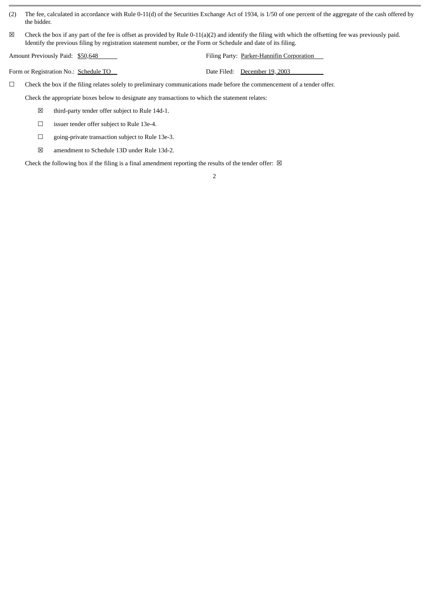- (2) The fee, calculated in accordance with Rule 0-11(d) of the Securities Exchange Act of 1934, is 1/50 of one percent of the aggregate of the cash offered by the bidder.
- $\boxtimes$  Check the box if any part of the fee is offset as provided by Rule 0-11(a)(2) and identify the filing with which the offsetting fee was previously paid. Identify the previous filing by registration statement number, or the Form or Schedule and date of its filing.

Amount Previously Paid:  $$50,648$   $$7$  Filing Party: Parker-Hannifin Corporation

Form or Registration No.: Schedule TO Date Filed: December 19, 2003

☐ Check the box if the filing relates solely to preliminary communications made before the commencement of a tender offer.

Check the appropriate boxes below to designate any transactions to which the statement relates:

- ☒ third-party tender offer subject to Rule 14d-1.
- ☐ issuer tender offer subject to Rule 13e-4.
- ☐ going-private transaction subject to Rule 13e-3.
- ☒ amendment to Schedule 13D under Rule 13d-2.

Check the following box if the filing is a final amendment reporting the results of the tender offer:  $\boxtimes$ 

2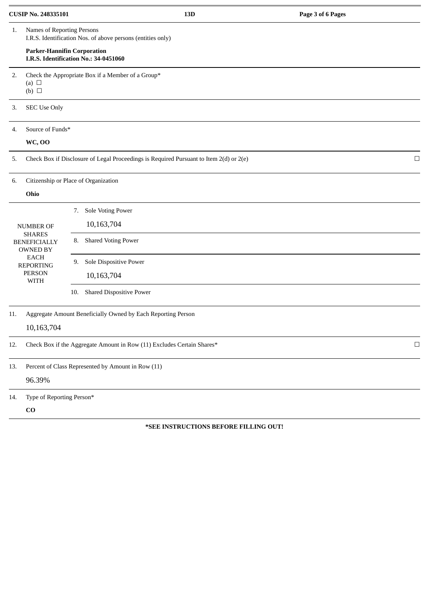| <b>CUSIP No. 248335101</b>                              |                                                                                        |                                                                                           | 13D | Page 3 of 6 Pages |        |  |
|---------------------------------------------------------|----------------------------------------------------------------------------------------|-------------------------------------------------------------------------------------------|-----|-------------------|--------|--|
| 1.                                                      |                                                                                        | Names of Reporting Persons<br>I.R.S. Identification Nos. of above persons (entities only) |     |                   |        |  |
|                                                         | <b>Parker-Hannifin Corporation</b><br>I.R.S. Identification No.: 34-0451060            |                                                                                           |     |                   |        |  |
| 2.                                                      | Check the Appropriate Box if a Member of a Group*<br>(a) $\Box$<br>$(b)$ $\square$     |                                                                                           |     |                   |        |  |
| 3.                                                      | <b>SEC Use Only</b>                                                                    |                                                                                           |     |                   |        |  |
| 4.                                                      | Source of Funds*                                                                       |                                                                                           |     |                   |        |  |
|                                                         | <b>WC, OO</b>                                                                          |                                                                                           |     |                   |        |  |
| 5.                                                      | Check Box if Disclosure of Legal Proceedings is Required Pursuant to Item 2(d) or 2(e) |                                                                                           |     |                   | $\Box$ |  |
| 6.                                                      |                                                                                        | Citizenship or Place of Organization                                                      |     |                   |        |  |
|                                                         | Ohio                                                                                   |                                                                                           |     |                   |        |  |
|                                                         |                                                                                        | <b>Sole Voting Power</b><br>7.                                                            |     |                   |        |  |
|                                                         | <b>NUMBER OF</b>                                                                       | 10,163,704                                                                                |     |                   |        |  |
| <b>SHARES</b><br><b>BENEFICIALLY</b><br><b>OWNED BY</b> |                                                                                        | <b>Shared Voting Power</b><br>8.                                                          |     |                   |        |  |
|                                                         | <b>EACH</b><br><b>REPORTING</b>                                                        | Sole Dispositive Power<br>9.                                                              |     |                   |        |  |
| <b>PERSON</b><br><b>WITH</b>                            |                                                                                        | 10,163,704                                                                                |     |                   |        |  |
|                                                         |                                                                                        | <b>Shared Dispositive Power</b><br>10.                                                    |     |                   |        |  |
| 11.                                                     |                                                                                        | Aggregate Amount Beneficially Owned by Each Reporting Person                              |     |                   |        |  |
|                                                         | 10,163,704                                                                             |                                                                                           |     |                   |        |  |
| 12.                                                     |                                                                                        | Check Box if the Aggregate Amount in Row (11) Excludes Certain Shares*                    |     |                   | $\Box$ |  |
| 13.                                                     |                                                                                        | Percent of Class Represented by Amount in Row (11)                                        |     |                   |        |  |
|                                                         | 96.39%                                                                                 |                                                                                           |     |                   |        |  |
| 14.                                                     | Type of Reporting Person*                                                              |                                                                                           |     |                   |        |  |
|                                                         | $\bf CO$                                                                               |                                                                                           |     |                   |        |  |

## **\*SEE INSTRUCTIONS BEFORE FILLING OUT!**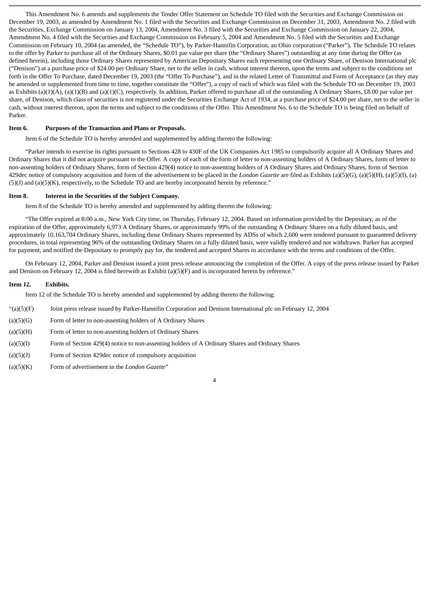This Amendment No. 6 amends and supplements the Tender Offer Statement on Schedule TO filed with the Securities and Exchange Commission on December 19, 2003, as amended by Amendment No. 1 filed with the Securities and Exchange Commission on December 31, 2003, Amendment No. 2 filed with the Securities, Exchange Commission on January 13, 2004, Amendment No. 3 filed with the Securities and Exchange Commission on January 22, 2004, Amendment No. 4 filed with the Securities and Exchange Commission on February 5, 2004 and Amendment No. 5 filed with the Securities and Exchange Commission on February 10, 2004 (as amended, the "Schedule TO"), by Parker-Hannifin Corporation, an Ohio corporation ("Parker"). The Schedule TO relates to the offer by Parker to purchase all of the Ordinary Shares, \$0.01 par value per share (the "Ordinary Shares") outstanding at any time during the Offer (as defined herein), including those Ordinary Shares represented by American Depositary Shares each representing one Ordinary Share, of Denison International plc ("Denison") at a purchase price of \$24.00 per Ordinary Share, net to the seller in cash, without interest thereon, upon the terms and subject to the conditions set forth in the Offer To Purchase, dated December 19, 2003 (the "Offer To Purchase"), and in the related Letter of Transmittal and Form of Acceptance (as they may be amended or supplemented from time to time, together constitute the "Offer"), a copy of each of which was filed with the Schedule TO on December 19, 2003 as Exhibits (a)(1)(A), (a)(1)(B) and (a)(1)(C), respectively. In addition, Parker offered to purchase all of the outstanding A Ordinary Shares, £8.00 par value per share, of Denison, which class of securities is not registered under the Securities Exchange Act of 1934, at a purchase price of \$24.00 per share, net to the seller in cash, without interest thereon, upon the terms and subject to the conditions of the Offer. This Amendment No. 6 to the Schedule TO is being filed on behalf of Parker.

#### **Item 6. Purposes of the Transaction and Plans or Proposals.**

Item 6 of the Schedule TO is hereby amended and supplemented by adding thereto the following:

"Parker intends to exercise its rights pursuant to Sections 428 to 430F of the UK Companies Act 1985 to compulsorily acquire all A Ordinary Shares and Ordinary Shares that it did not acquire pursuant to the Offer. A copy of each of the form of letter to non-assenting holders of A Ordinary Shares, form of letter to non-assenting holders of Ordinary Shares, form of Section 429(4) notice to non-assenting holders of A Ordinary Shares and Ordinary Shares, form of Section 429dec notice of compulsory acquisition and form of the advertisement to be placed in the *London Gazette* are filed as Exhibits (a)(5)(G), (a)(5)(H), (a)(5)(I), (a) (5)(J) and (a)(5)(K), respectively, to the Schedule TO and are hereby incorporated herein by reference."

#### **Item 8. Interest in the Securities of the Subject Company.**

Item 8 of the Schedule TO is hereby amended and supplemented by adding thereto the following:

"The Offer expired at 8:00 a.m., New York City time, on Thursday, February 12, 2004. Based on information provided by the Depositary, as of the expiration of the Offer, approximately 6,973 A Ordinary Shares, or approximately 99% of the outstanding A Ordinary Shares on a fully diluted basis, and approximately 10,163,704 Ordinary Shares, including those Ordinary Shares represented by ADSs of which 2,600 were tendered pursuant to guaranteed delivery procedures, in total representing 96% of the outstanding Ordinary Shares on a fully diluted basis, were validly tendered and not withdrawn. Parker has accepted for payment, and notified the Depositary to promptly pay for, the tendered and accepted Shares in accordance with the terms and conditions of the Offer.

On February 12, 2004, Parker and Denison issued a joint press release announcing the completion of the Offer. A copy of the press release issued by Parker and Denison on February 12, 2004 is filed herewith as Exhibit (a)(5)(F) and is incorporated herein by reference."

#### **Item 12. Exhibits.**

Item 12 of the Schedule TO is hereby amended and supplemented by adding thereto the following:

- "(a)(5)(F) Joint press release issued by Parker-Hannifin Corporation and Denison International plc on February 12, 2004
- (a)(5)(G) Form of letter to non-assenting holders of A Ordinary Shares
- (a)(5)(H) Form of letter to non-assenting holders of Ordinary Shares
- (a)(5)(I) Form of Section 429(4) notice to non-assenting holders of A Ordinary Shares and Ordinary Shares
- (a)(5)(J) Form of Section 429dec notice of compulsory acquisition
- (a)(5)(K) Form of advertisement in the *London Gazette*"

4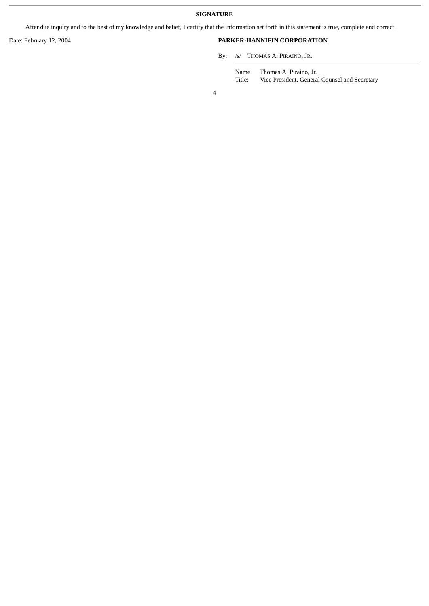After due inquiry and to the best of my knowledge and belief, I certify that the information set forth in this statement is true, complete and correct.

## Date: February 12, 2004 **PARKER-HANNIFIN CORPORATION**

By: /s/ THOMAS A. PIRAINO, JR.

Name: Thomas A. Piraino, Jr. Title: Vice President, General Counsel and Secretary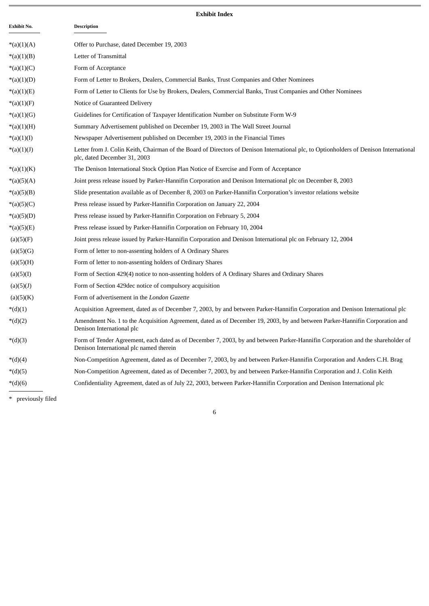# **Exhibit Index**

| Exhibit No.  | <b>Description</b>                                                                                                                                                        |
|--------------|---------------------------------------------------------------------------------------------------------------------------------------------------------------------------|
| *(a)(1)(A)   | Offer to Purchase, dated December 19, 2003                                                                                                                                |
| *(a)(1)(B)   | Letter of Transmittal                                                                                                                                                     |
| *(a)(1)(C)   | Form of Acceptance                                                                                                                                                        |
| $*(a)(1)(D)$ | Form of Letter to Brokers, Dealers, Commercial Banks, Trust Companies and Other Nominees                                                                                  |
| *(a)(1)(E)   | Form of Letter to Clients for Use by Brokers, Dealers, Commercial Banks, Trust Companies and Other Nominees                                                               |
| *(a)(1)(F)   | Notice of Guaranteed Delivery                                                                                                                                             |
| $*(a)(1)(G)$ | Guidelines for Certification of Taxpayer Identification Number on Substitute Form W-9                                                                                     |
| $*(a)(1)(H)$ | Summary Advertisement published on December 19, 2003 in The Wall Street Journal                                                                                           |
| $*(a)(1)(I)$ | Newspaper Advertisement published on December 19, 2003 in the Financial Times                                                                                             |
| $*(a)(1)(J)$ | Letter from J. Colin Keith, Chairman of the Board of Directors of Denison International plc, to Optionholders of Denison International<br>plc, dated December 31, 2003    |
| $*(a)(1)(K)$ | The Denison International Stock Option Plan Notice of Exercise and Form of Acceptance                                                                                     |
| *(a)(5)(A)   | Joint press release issued by Parker-Hannifin Corporation and Denison International plc on December 8, 2003                                                               |
| *(a)(5)(B)   | Slide presentation available as of December 8, 2003 on Parker-Hannifin Corporation's investor relations website                                                           |
| $*(a)(5)(C)$ | Press release issued by Parker-Hannifin Corporation on January 22, 2004                                                                                                   |
| $*(a)(5)(D)$ | Press release issued by Parker-Hannifin Corporation on February 5, 2004                                                                                                   |
| $*(a)(5)(E)$ | Press release issued by Parker-Hannifin Corporation on February 10, 2004                                                                                                  |
| (a)(5)(F)    | Joint press release issued by Parker-Hannifin Corporation and Denison International plc on February 12, 2004                                                              |
| (a)(5)(G)    | Form of letter to non-assenting holders of A Ordinary Shares                                                                                                              |
| (a)(5)(H)    | Form of letter to non-assenting holders of Ordinary Shares                                                                                                                |
| (a)(5)(I)    | Form of Section 429(4) notice to non-assenting holders of A Ordinary Shares and Ordinary Shares                                                                           |
| (a)(5)(J)    | Form of Section 429 dec notice of compulsory acquisition                                                                                                                  |
| (a)(5)(K)    | Form of advertisement in the London Gazette                                                                                                                               |
| $*(d)(1)$    | Acquisition Agreement, dated as of December 7, 2003, by and between Parker-Hannifin Corporation and Denison International plc                                             |
| $*(d)(2)$    | Amendment No. 1 to the Acquisition Agreement, dated as of December 19, 2003, by and between Parker-Hannifin Corporation and<br>Denison International plc                  |
| $*(d)(3)$    | Form of Tender Agreement, each dated as of December 7, 2003, by and between Parker-Hannifin Corporation and the shareholder of<br>Denison International plc named therein |
| $*(d)(4)$    | Non-Competition Agreement, dated as of December 7, 2003, by and between Parker-Hannifin Corporation and Anders C.H. Brag                                                  |
| $*(d)(5)$    | Non-Competition Agreement, dated as of December 7, 2003, by and between Parker-Hannifin Corporation and J. Colin Keith                                                    |
| $*(d)(6)$    | Confidentiality Agreement, dated as of July 22, 2003, between Parker-Hannifin Corporation and Denison International plc                                                   |

6

\* previously filed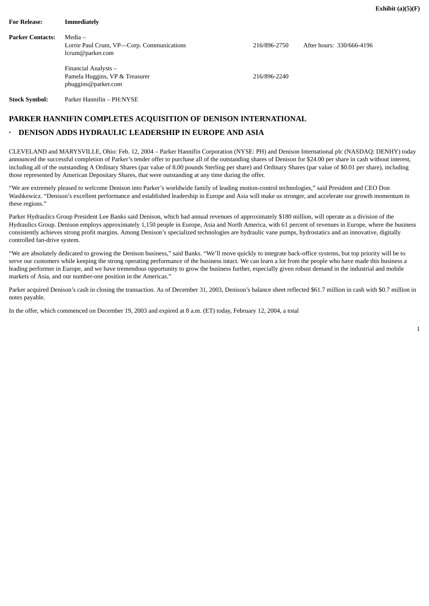| <b>For Release:</b>     | <b>Immediately</b>                                                            |              |                           |
|-------------------------|-------------------------------------------------------------------------------|--------------|---------------------------|
| <b>Parker Contacts:</b> | Media –<br>Lorrie Paul Crum, VP-Corp. Communications<br>lcrum@parker.com      | 216/896-2750 | After hours: 330/666-4196 |
|                         | Financial Analysts -<br>Pamela Huggins, VP & Treasurer<br>phuggins@parker.com | 216/896-2240 |                           |

**Stock Symbol:** Parker Hannifin – PH:NYSE

## **PARKER HANNIFIN COMPLETES ACQUISITION OF DENISON INTERNATIONAL**

## **· DENISON ADDS HYDRAULIC LEADERSHIP IN EUROPE AND ASIA**

CLEVELAND and MARYSVILLE, Ohio: Feb. 12, 2004 – Parker Hannifin Corporation (NYSE: PH) and Denison International plc (NASDAQ: DENHY) today announced the successful completion of Parker's tender offer to purchase all of the outstanding shares of Denison for \$24.00 per share in cash without interest, including all of the outstanding A Ordinary Shares (par value of 8.00 pounds Sterling per share) and Ordinary Shares (par value of \$0.01 per share), including those represented by American Depositary Shares, that were outstanding at any time during the offer.

"We are extremely pleased to welcome Denison into Parker's worldwide family of leading motion-control technologies," said President and CEO Don Washkewicz. "Denison's excellent performance and established leadership in Europe and Asia will make us stronger, and accelerate our growth momentum in these regions."

Parker Hydraulics Group President Lee Banks said Denison, which had annual revenues of approximately \$180 million, will operate as a division of the Hydraulics Group. Denison employs approximately 1,150 people in Europe, Asia and North America, with 61 percent of revenues in Europe, where the business consistently achieves strong profit margins. Among Denison's specialized technologies are hydraulic vane pumps, hydrostatics and an innovative, digitally controlled fan-drive system.

"We are absolutely dedicated to growing the Denison business," said Banks. "We'll move quickly to integrate back-office systems, but top priority will be to serve our customers while keeping the strong operating performance of the business intact. We can learn a lot from the people who have made this business a leading performer in Europe, and we have tremendous opportunity to grow the business further, especially given robust demand in the industrial and mobile markets of Asia, and our number-one position in the Americas."

Parker acquired Denison's cash in closing the transaction. As of December 31, 2003, Denison's balance sheet reflected \$61.7 million in cash with \$0.7 million in notes payable.

In the offer, which commenced on December 19, 2003 and expired at 8 a.m. (ET) today, February 12, 2004, a total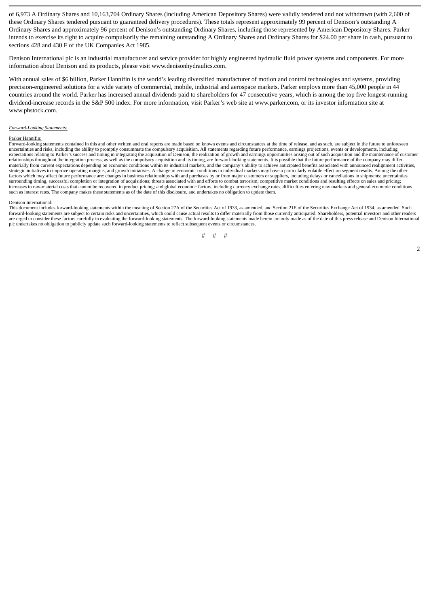of 6,973 A Ordinary Shares and 10,163,704 Ordinary Shares (including American Depository Shares) were validly tendered and not withdrawn (with 2,600 of these Ordinary Shares tendered pursuant to guaranteed delivery procedures). These totals represent approximately 99 percent of Denison's outstanding A Ordinary Shares and approximately 96 percent of Denison's outstanding Ordinary Shares, including those represented by American Depository Shares. Parker intends to exercise its right to acquire compulsorily the remaining outstanding A Ordinary Shares and Ordinary Shares for \$24.00 per share in cash, pursuant to sections 428 and 430 F of the UK Companies Act 1985.

Denison International plc is an industrial manufacturer and service provider for highly engineered hydraulic fluid power systems and components. For more information about Denison and its products, please visit www.denisonhydraulics.com.

With annual sales of \$6 billion, Parker Hannifin is the world's leading diversified manufacturer of motion and control technologies and systems, providing precision-engineered solutions for a wide variety of commercial, mobile, industrial and aerospace markets. Parker employs more than 45,000 people in 44 countries around the world. Parker has increased annual dividends paid to shareholders for 47 consecutive years, which is among the top five longest-running dividend-increase records in the S&P 500 index. For more information, visit Parker's web site at www.parker.com, or its investor information site at www.phstock.com.

#### *Forward-Looking Statements:*

#### Parker Hannifin:

Forward-looking statements contained in this and other written and oral reports are made based on known events and circumstances at the time of release, and as such, are subject in the future to unforeseen uncertainties and risks, including the ability to promptly consummate the compulsory acquisition. All statements regarding future performance, earnings projections, events or developments, including<br>expectations relating t materially from current expectations depending on economic conditions within its industrial markets, and the company's ability to achieve anticipated benefits associated with announced realignment activities, strategic initiatives to improve operating margins, and growth initiatives. A change in economic conditions in individual markets may have a particularly volatile effect on segment results. Among the other factors which may affect future performance are: changes in business relationships with and purchases by or from major customers or suppliers, including delays or cancellations in shipments; uncertainties surrounding timing, successful completion or integration of acquisitions; threats associated with and efforts to combat terrorism; competitive market conditions and resulting effects on sales and pricing; increases in raw-material costs that cannot be recovered in product pricing; and global economic factors, including currency exchange rates, difficulties entering new markets and general economic conditions<br>such as interes

#### Denison International:

This document includes forward-looking statements within the meaning of Section 27A of the Securities Act of 1933, as amended, and Section 21E of the Securities Exchange Act of 1934, as amended. Such forward-looking statements are subject to certain risks and uncertainties, which could cause actual results to differ materially from those currently anticipated. Shareholders, potential investors and other readers are urged to consider these factors carefully in evaluating the forward-looking statements. The forward-looking statements made herein are only made as of the date of this press release and Denison International are urged plc undertakes no obligation to publicly update such forward-looking statements to reflect subsequent events or circumstances.

$$
\# \hspace{.35cm} \# \hspace{.35cm} \# \hspace{.35cm} \#
$$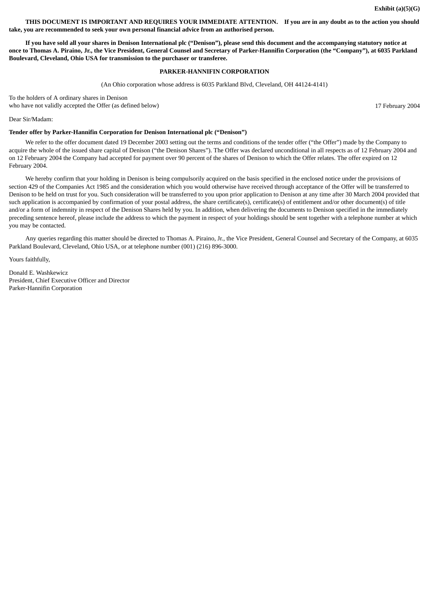**THIS DOCUMENT IS IMPORTANT AND REQUIRES YOUR IMMEDIATE ATTENTION. If you are in any doubt as to the action you should take, you are recommended to seek your own personal financial advice from an authorised person.**

**If you have sold all your shares in Denison International plc ("Denison"), please send this document and the accompanying statutory notice at once to Thomas A. Piraino, Jr., the Vice President, General Counsel and Secretary of Parker-Hannifin Corporation (the "Company"), at 6035 Parkland Boulevard, Cleveland, Ohio USA for transmission to the purchaser or transferee.**

#### **PARKER-HANNIFIN CORPORATION**

(An Ohio corporation whose address is 6035 Parkland Blvd, Cleveland, OH 44124-4141)

To the holders of A ordinary shares in Denison who have not validly accepted the Offer (as defined below) and the state of the state of the state of the 17 February 2004

Dear Sir/Madam:

#### **Tender offer by Parker-Hannifin Corporation for Denison International plc ("Denison")**

We refer to the offer document dated 19 December 2003 setting out the terms and conditions of the tender offer ("the Offer") made by the Company to acquire the whole of the issued share capital of Denison ("the Denison Shares"). The Offer was declared unconditional in all respects as of 12 February 2004 and on 12 February 2004 the Company had accepted for payment over 90 percent of the shares of Denison to which the Offer relates. The offer expired on 12 February 2004.

We hereby confirm that your holding in Denison is being compulsorily acquired on the basis specified in the enclosed notice under the provisions of section 429 of the Companies Act 1985 and the consideration which you would otherwise have received through acceptance of the Offer will be transferred to Denison to be held on trust for you. Such consideration will be transferred to you upon prior application to Denison at any time after 30 March 2004 provided that such application is accompanied by confirmation of your postal address, the share certificate(s), certificate(s) of entitlement and/or other document(s) of title and/or a form of indemnity in respect of the Denison Shares held by you. In addition, when delivering the documents to Denison specified in the immediately preceding sentence hereof, please include the address to which the payment in respect of your holdings should be sent together with a telephone number at which you may be contacted.

Any queries regarding this matter should be directed to Thomas A. Piraino, Jr., the Vice President, General Counsel and Secretary of the Company, at 6035 Parkland Boulevard, Cleveland, Ohio USA, or at telephone number (001) (216) 896-3000.

Yours faithfully,

Donald E. Washkewicz President, Chief Executive Officer and Director Parker-Hannifin Corporation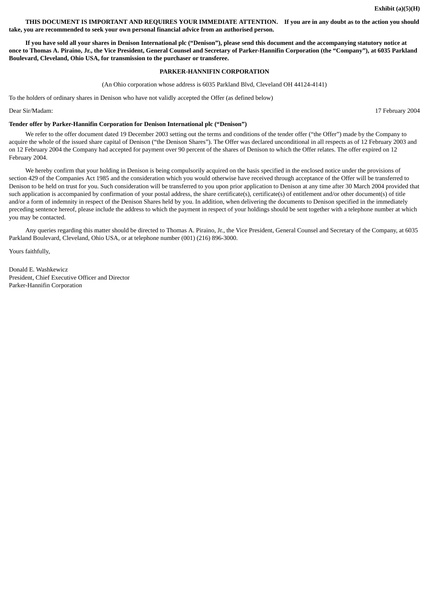**THIS DOCUMENT IS IMPORTANT AND REQUIRES YOUR IMMEDIATE ATTENTION. If you are in any doubt as to the action you should take, you are recommended to seek your own personal financial advice from an authorised person.**

**If you have sold all your shares in Denison International plc ("Denison"), please send this document and the accompanying statutory notice at once to Thomas A. Piraino, Jr., the Vice President, General Counsel and Secretary of Parker-Hannifin Corporation (the "Company"), at 6035 Parkland Boulevard, Cleveland, Ohio USA, for transmission to the purchaser or transferee.**

(An Ohio corporation whose address is 6035 Parkland Blvd, Cleveland OH 44124-4141)

To the holders of ordinary shares in Denison who have not validly accepted the Offer (as defined below)

**Tender offer by Parker-Hannifin Corporation for Denison International plc ("Denison")**

We refer to the offer document dated 19 December 2003 setting out the terms and conditions of the tender offer ("the Offer") made by the Company to acquire the whole of the issued share capital of Denison ("the Denison Shares"). The Offer was declared unconditional in all respects as of 12 February 2003 and on 12 February 2004 the Company had accepted for payment over 90 percent of the shares of Denison to which the Offer relates. The offer expired on 12 February 2004.

We hereby confirm that your holding in Denison is being compulsorily acquired on the basis specified in the enclosed notice under the provisions of section 429 of the Companies Act 1985 and the consideration which you would otherwise have received through acceptance of the Offer will be transferred to Denison to be held on trust for you. Such consideration will be transferred to you upon prior application to Denison at any time after 30 March 2004 provided that such application is accompanied by confirmation of your postal address, the share certificate(s), certificate(s) of entitlement and/or other document(s) of title and/or a form of indemnity in respect of the Denison Shares held by you. In addition, when delivering the documents to Denison specified in the immediately preceding sentence hereof, please include the address to which the payment in respect of your holdings should be sent together with a telephone number at which you may be contacted.

Any queries regarding this matter should be directed to Thomas A. Piraino, Jr., the Vice President, General Counsel and Secretary of the Company, at 6035 Parkland Boulevard, Cleveland, Ohio USA, or at telephone number (001) (216) 896-3000.

Yours faithfully,

Donald E. Washkewicz President, Chief Executive Officer and Director Parker-Hannifin Corporation

Dear Sir/Madam: 17 February 2004

## **PARKER-HANNIFIN CORPORATION**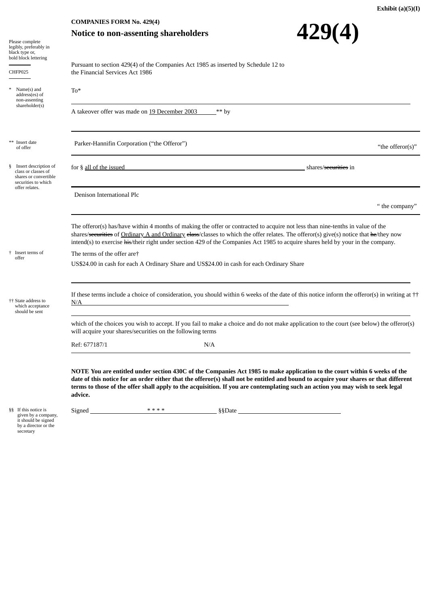# **Notice to non-assenting shareholders**

|                                                                                                    | <b>COMPANIES FORM No. 429(4)</b>                                                                                                                                                                                                                                                                                                                                                                               |      |         |                                  |                  |  |
|----------------------------------------------------------------------------------------------------|----------------------------------------------------------------------------------------------------------------------------------------------------------------------------------------------------------------------------------------------------------------------------------------------------------------------------------------------------------------------------------------------------------------|------|---------|----------------------------------|------------------|--|
|                                                                                                    | <b>Notice to non-assenting shareholders</b>                                                                                                                                                                                                                                                                                                                                                                    |      |         | 429(4)                           |                  |  |
| Please complete<br>legibly, preferably in                                                          |                                                                                                                                                                                                                                                                                                                                                                                                                |      |         |                                  |                  |  |
| black type or,<br>bold block lettering                                                             |                                                                                                                                                                                                                                                                                                                                                                                                                |      |         |                                  |                  |  |
|                                                                                                    | Pursuant to section 429(4) of the Companies Act 1985 as inserted by Schedule 12 to                                                                                                                                                                                                                                                                                                                             |      |         |                                  |                  |  |
| CHFP025                                                                                            | the Financial Services Act 1986                                                                                                                                                                                                                                                                                                                                                                                |      |         |                                  |                  |  |
| $Name(s)$ and<br>address(es) of<br>non-assenting                                                   | $To*$                                                                                                                                                                                                                                                                                                                                                                                                          |      |         |                                  |                  |  |
| shareholder(s)                                                                                     | A takeover offer was made on 19 December 2003                                                                                                                                                                                                                                                                                                                                                                  |      | $**$ by |                                  |                  |  |
| Insert date<br>of offer                                                                            | Parker-Hannifin Corporation ("the Offeror")                                                                                                                                                                                                                                                                                                                                                                    |      |         |                                  | "the offeror(s)" |  |
| Insert description of<br>§.<br>class or classes of<br>shares or convertible<br>securities to which | for § all of the issued                                                                                                                                                                                                                                                                                                                                                                                        |      |         | shares/ <del>securities</del> in |                  |  |
| offer relates.                                                                                     | Denison International Plc                                                                                                                                                                                                                                                                                                                                                                                      |      |         |                                  |                  |  |
|                                                                                                    |                                                                                                                                                                                                                                                                                                                                                                                                                |      |         |                                  | " the company"   |  |
|                                                                                                    |                                                                                                                                                                                                                                                                                                                                                                                                                |      |         |                                  |                  |  |
|                                                                                                    | The offeror(s) has/have within 4 months of making the offer or contracted to acquire not less than nine-tenths in value of the<br>shares/securities of Ordinary A and Ordinary elass/classes to which the offer relates. The offeror(s) give(s) notice that he/they now<br>intend(s) to exercise his/their right under section 429 of the Companies Act 1985 to acquire shares held by your in the company.    |      |         |                                  |                  |  |
| <sup>†</sup> Insert terms of                                                                       | The terms of the offer are†                                                                                                                                                                                                                                                                                                                                                                                    |      |         |                                  |                  |  |
| offer                                                                                              | US\$24.00 in cash for each A Ordinary Share and US\$24.00 in cash for each Ordinary Share                                                                                                                                                                                                                                                                                                                      |      |         |                                  |                  |  |
| <sup>††</sup> State address to<br>which acceptance<br>should be sent                               | If these terms include a choice of consideration, you should within 6 weeks of the date of this notice inform the offeror(s) in writing at $\dagger\dagger$<br>N/A                                                                                                                                                                                                                                             |      |         |                                  |                  |  |
|                                                                                                    | which of the choices you wish to accept. If you fail to make a choice and do not make application to the court (see below) the offeror(s)<br>will acquire your shares/securities on the following terms                                                                                                                                                                                                        |      |         |                                  |                  |  |
|                                                                                                    | Ref: 677187/1                                                                                                                                                                                                                                                                                                                                                                                                  | N/A  |         |                                  |                  |  |
|                                                                                                    | NOTE You are entitled under section 430C of the Companies Act 1985 to make application to the court within 6 weeks of the<br>date of this notice for an order either that the offeror(s) shall not be entitled and bound to acquire your shares or that different<br>terms to those of the offer shall apply to the acquisition. If you are contemplating such an action you may wish to seek legal<br>advice. | **** |         |                                  |                  |  |
| §§ If this notice is<br>given by a company,                                                        | Signed <b>Similar Side Side Side Side Side Side</b>                                                                                                                                                                                                                                                                                                                                                            |      |         |                                  |                  |  |
| it should be signed<br>by a director or the<br>secretary                                           |                                                                                                                                                                                                                                                                                                                                                                                                                |      |         |                                  |                  |  |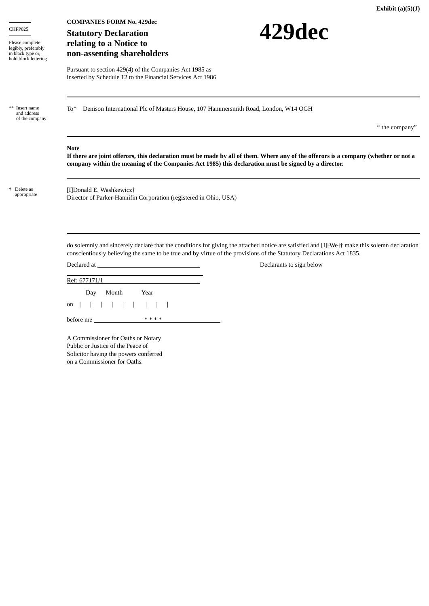| CHFP025<br>Please complete<br>legibly, preferably<br>in black type or,<br>bold block lettering | <b>COMPANIES FORM No. 429dec</b><br>429dec<br><b>Statutory Declaration</b><br>relating to a Notice to<br>non-assenting shareholders                                                                                                                                    |                |
|------------------------------------------------------------------------------------------------|------------------------------------------------------------------------------------------------------------------------------------------------------------------------------------------------------------------------------------------------------------------------|----------------|
|                                                                                                | Pursuant to section 429(4) of the Companies Act 1985 as<br>inserted by Schedule 12 to the Financial Services Act 1986                                                                                                                                                  |                |
| Insert name<br>and address<br>of the company                                                   | Denison International Plc of Masters House, 107 Hammersmith Road, London, W14 OGH<br>To*                                                                                                                                                                               |                |
|                                                                                                |                                                                                                                                                                                                                                                                        | " the company" |
|                                                                                                | <b>Note</b><br>If there are joint offerors, this declaration must be made by all of them. Where any of the offerors is a company (whether or not a<br>company within the meaning of the Companies Act 1985) this declaration must be signed by a director.             |                |
| + Delete as<br>appropriate                                                                     | [I]Donald E. Washkewicz†<br>Director of Parker-Hannifin Corporation (registered in Ohio, USA)                                                                                                                                                                          |                |
|                                                                                                | do solemnly and sincerely declare that the conditions for giving the attached notice are satisfied and [I] [We]+ make this solemn declaration<br>conscientiously believing the same to be true and by virtue of the provisions of the Statutory Declarations Act 1835. |                |
|                                                                                                | Declared at the contract of the contract of the contract of the contract of the contract of the contract of the contract of the contract of the contract of the contract of the contract of the contract of the contract of th<br>Declarants to sign below             |                |
|                                                                                                | Ref: 677171/1                                                                                                                                                                                                                                                          |                |
|                                                                                                | Month<br>Year<br>Day                                                                                                                                                                                                                                                   |                |
|                                                                                                | on                                                                                                                                                                                                                                                                     |                |

**Exhibit (a)(5)(J)**

A Commissioner for Oaths or Notary Public or Justice of the Peace of Solicitor having the powers conferred on a Commissioner for Oaths.

before me \* \* \* \*